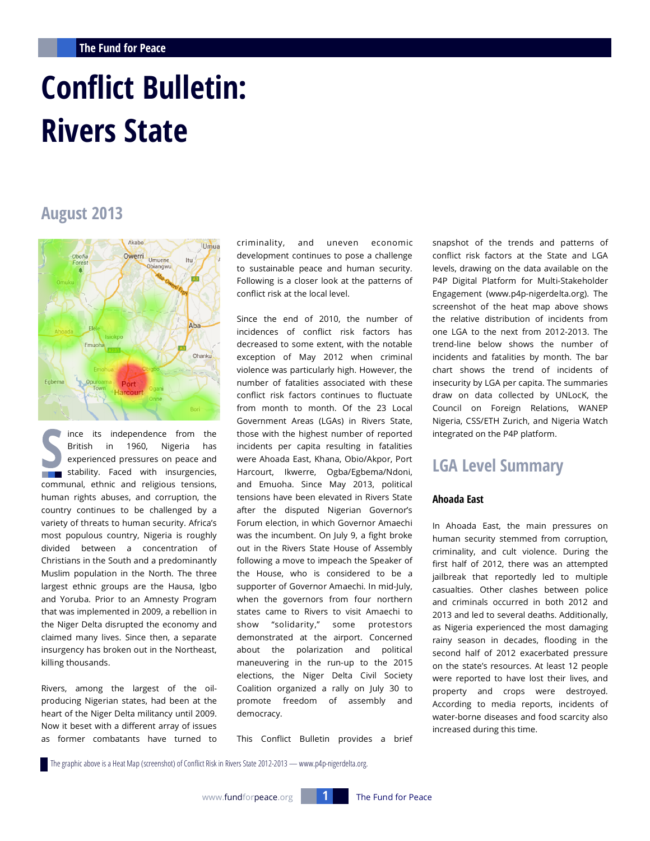# **Conflict Bulletin: Rivers State**

# **August 2013**



ince its independence from the British in 1960, Nigeria has experienced pressures on peace and stability. Faced with insurgencies, communal, ethnic and religious tensions, human rights abuses, and corruption, the country continues to be challenged by a variety of threats to human security. Africa's most populous country, Nigeria is roughly divided between a concentration of Christians in the South and a predominantly Muslim population in the North. The three largest ethnic groups are the Hausa, Igbo and Yoruba. Prior to an Amnesty Program that was implemented in 2009, a rebellion in the Niger Delta disrupted the economy and claimed many lives. Since then, a separate insurgency has broken out in the Northeast, killing thousands.

Rivers, among the largest of the oilproducing Nigerian states, had been at the heart of the Niger Delta militancy until 2009. Now it beset with a different array of issues as former combatants have turned to criminality, and uneven economic development continues to pose a challenge to sustainable peace and human security. Following is a closer look at the patterns of conflict risk at the local level.

Since the end of 2010, the number of incidences of conflict risk factors has decreased to some extent, with the notable exception of May 2012 when criminal violence was particularly high. However, the number of fatalities associated with these conflict risk factors continues to fluctuate from month to month. Of the 23 Local Government Areas (LGAs) in Rivers State, those with the highest number of reported incidents per capita resulting in fatalities were Ahoada East, Khana, Obio/Akpor, Port Harcourt, Ikwerre, Ogba/Egbema/Ndoni, and Emuoha. Since May 2013, political tensions have been elevated in Rivers State after the disputed Nigerian Governor's Forum election, in which Governor Amaechi was the incumbent. On July 9, a fight broke out in the Rivers State House of Assembly following a move to impeach the Speaker of the House, who is considered to be a supporter of Governor Amaechi. In mid-July, when the governors from four northern states came to Rivers to visit Amaechi to show "solidarity," some protestors demonstrated at the airport. Concerned about the polarization and political maneuvering in the run-up to the 2015 elections, the Niger Delta Civil Society Coalition organized a rally on July 30 to promote freedom of assembly and democracy.

This Conflict Bulletin provides a brief

snapshot of the trends and patterns of conflict risk factors at the State and LGA levels, drawing on the data available on the P4P Digital Platform for Multi-Stakeholder Engagement (www.p4p-nigerdelta.org). The screenshot of the heat map above shows the relative distribution of incidents from one LGA to the next from 2012-2013. The trend-line below shows the number of incidents and fatalities by month. The bar chart shows the trend of incidents of insecurity by LGA per capita. The summaries draw on data collected by UNLocK, the Council on Foreign Relations, WANEP Nigeria, CSS/ETH Zurich, and Nigeria Watch integrated on the P4P platform.

# **LGA Level Summary**

# **Ahoada East**

In Ahoada East, the main pressures on human security stemmed from corruption, criminality, and cult violence. During the first half of 2012, there was an attempted jailbreak that reportedly led to multiple casualties. Other clashes between police and criminals occurred in both 2012 and 2013 and led to several deaths. Additionally, as Nigeria experienced the most damaging rainy season in decades, flooding in the second half of 2012 exacerbated pressure on the state's resources. At least 12 people were reported to have lost their lives, and property and crops were destroyed. According to media reports, incidents of water-borne diseases and food scarcity also increased during this time.

The graphic above is a Heat Map (screenshot) of Conflict Risk in Rivers State 2012-2013 — www.p4p-nigerdelta.org.